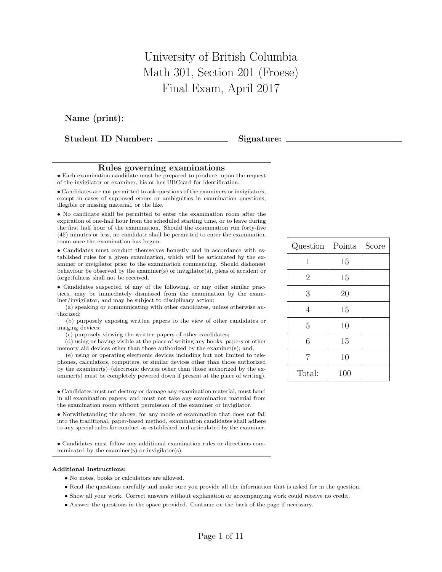## University of British Columbia Math 301, Section 201 (Froese) Final Exam, April 2017

Name (print):

Student ID Number: Signature:

## Rules governing examinations

• Each examination candidate must be prepared to produce, upon the request of the invigilator or examiner, his or her UBCcard for identification.

• Candidates are not permitted to ask questions of the examiners or invigilators, except in cases of supposed errors or ambiguities in examination questions, illegible or missing material, or the like.

• No candidate shall be permitted to enter the examination room after the expiration of one-half hour from the scheduled starting time, or to leave during the first half hour of the examination. Should the examination run forty-five (45) minutes or less, no candidate shall be permitted to enter the examination room once the examination has begun.

• Candidates must conduct themselves honestly and in accordance with established rules for a given examination, which will be articulated by the examiner or invigilator prior to the examination commencing. Should dishonest behaviour be observed by the examiner(s) or invigilator(s), pleas of accident or forgetfulness shall not be received.

• Candidates suspected of any of the following, or any other similar practices, may be immediately dismissed from the examination by the examiner/invigilator, and may be subject to disciplinary action:

(a) speaking or communicating with other candidates, unless otherwise authorized;

(b) purposely exposing written papers to the view of other candidates or imaging devices;

(c) purposely viewing the written papers of other candidates;

(d) using or having visible at the place of writing any books, papers or other memory aid devices other than those authorized by the examiner(s); and,

(e) using or operating electronic devices including but not limited to telephones, calculators, computers, or similar devices other than those authorized by the examiner(s)–(electronic devices other than those authorized by the examiner(s) must be completely powered down if present at the place of writing).

• Candidates must not destroy or damage any examination material, must hand in all examination papers, and must not take any examination material from the examination room without permission of the examiner or invigilator.

• Notwithstanding the above, for any mode of examination that does not fall into the traditional, paper-based method, examination candidates shall adhere to any special rules for conduct as established and articulated by the examiner.

• Candidates must follow any additional examination rules or directions communicated by the examiner(s) or invigilator(s).

## Additional Instructions:

- No notes, books or calculators are allowed.
- Read the questions carefully and make sure you provide all the information that is asked for in the question.
- Show all your work. Correct answers without explanation or accompanying work could receive no credit.
- Answer the questions in the space provided. Continue on the back of the page if necessary.

| Question       | Points | Score |
|----------------|--------|-------|
| 1              | 15     |       |
| $\overline{2}$ | 15     |       |
| 3              | 20     |       |
| 4              | 15     |       |
| 5              | 10     |       |
| 6              | 15     |       |
| $\overline{7}$ | 10     |       |
| Total:         | 100    |       |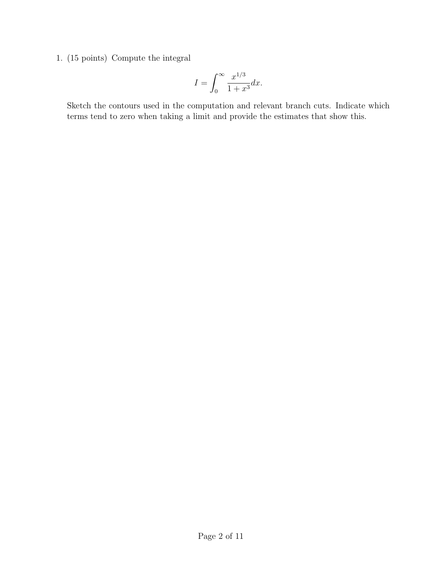1. (15 points) Compute the integral

$$
I = \int_0^\infty \frac{x^{1/3}}{1+x^3} dx.
$$

Sketch the contours used in the computation and relevant branch cuts. Indicate which terms tend to zero when taking a limit and provide the estimates that show this.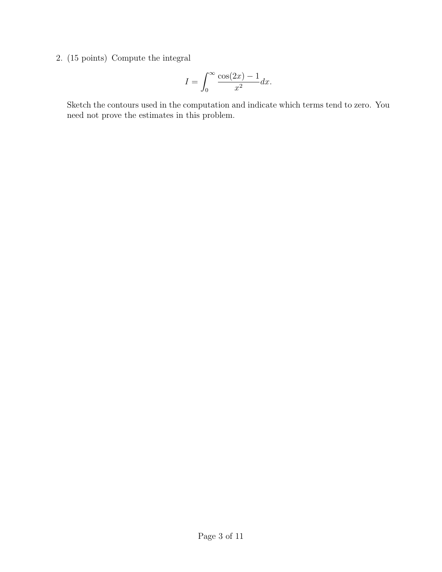2. (15 points) Compute the integral

$$
I = \int_0^\infty \frac{\cos(2x) - 1}{x^2} dx.
$$

Sketch the contours used in the computation and indicate which terms tend to zero. You need not prove the estimates in this problem.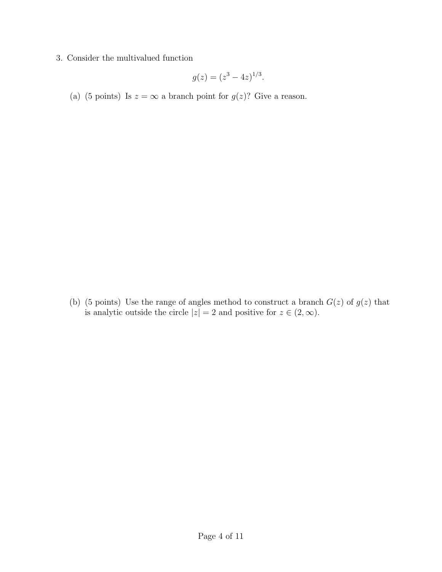3. Consider the multivalued function

$$
g(z) = (z^3 - 4z)^{1/3}.
$$

(a) (5 points) Is  $z = \infty$  a branch point for  $g(z)$ ? Give a reason.

(b) (5 points) Use the range of angles method to construct a branch  $G(z)$  of  $g(z)$  that is analytic outside the circle  $|z|=2$  and positive for  $z\in (2,\infty)$ .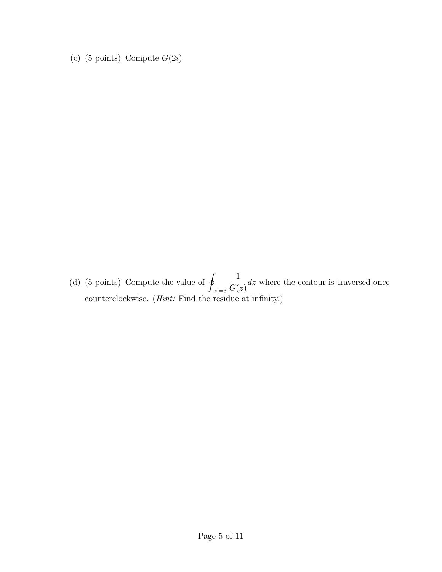(c) (5 points) Compute  $G(2i)$ 

(d) (5 points) Compute the value of  $\varphi$  $|z|=3$ 1  $G(z)$ dz where the contour is traversed once counterclockwise. (*Hint:* Find the residue at infinity.)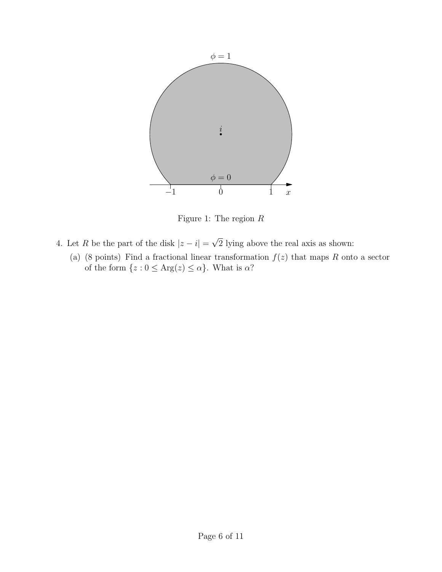

Figure 1: The region R

- 4. Let R be the part of the disk  $|z i| = \sqrt{2}$  lying above the real axis as shown:
	- (a) (8 points) Find a fractional linear transformation  $f(z)$  that maps R onto a sector of the form  $\{z : 0 \le \text{Arg}(z) \le \alpha\}$ . What is  $\alpha$ ?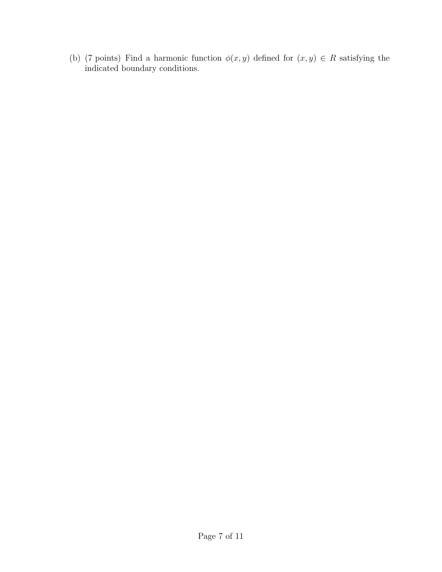(b) (7 points) Find a harmonic function  $\phi(x, y)$  defined for  $(x, y) \in R$  satisfying the indicated boundary conditions.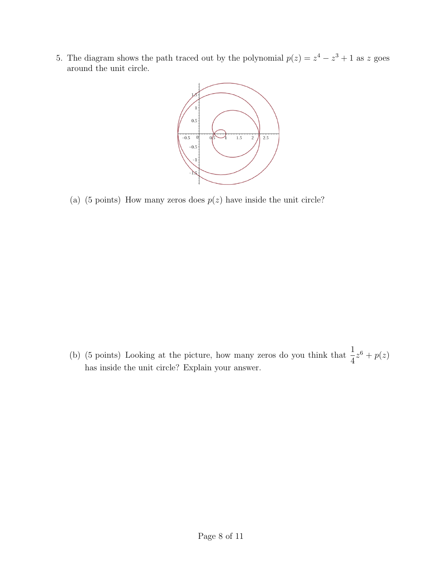5. The diagram shows the path traced out by the polynomial  $p(z) = z^4 - z^3 + 1$  as z goes around the unit circle.



(a) (5 points) How many zeros does  $p(z)$  have inside the unit circle?

(b) (5 points) Looking at the picture, how many zeros do you think that  $\frac{1}{4}$ 4  $z^6+p(z)$ has inside the unit circle? Explain your answer.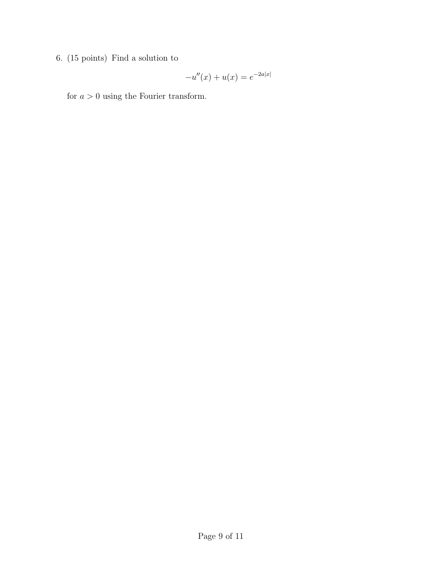6. (15 points) Find a solution to

$$
-u''(x) + u(x) = e^{-2a|x|}
$$

for  $a > 0$  using the Fourier transform.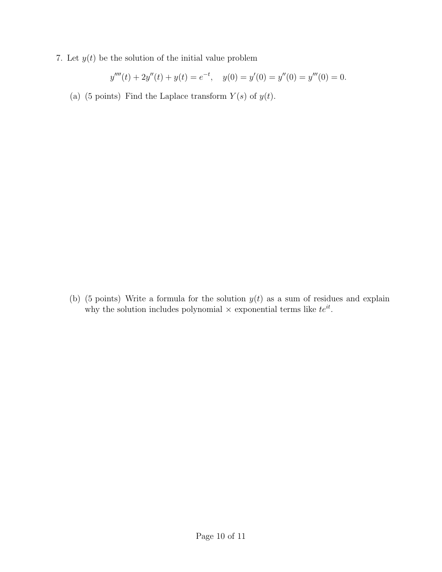7. Let  $y(t)$  be the solution of the initial value problem

$$
y'''(t) + 2y''(t) + y(t) = e^{-t}, \quad y(0) = y'(0) = y''(0) = y'''(0) = 0.
$$

(a) (5 points) Find the Laplace transform  $Y(s)$  of  $y(t)$ .

(b) (5 points) Write a formula for the solution  $y(t)$  as a sum of residues and explain why the solution includes polynomial  $\times$  exponential terms like  $te^{it}$ .